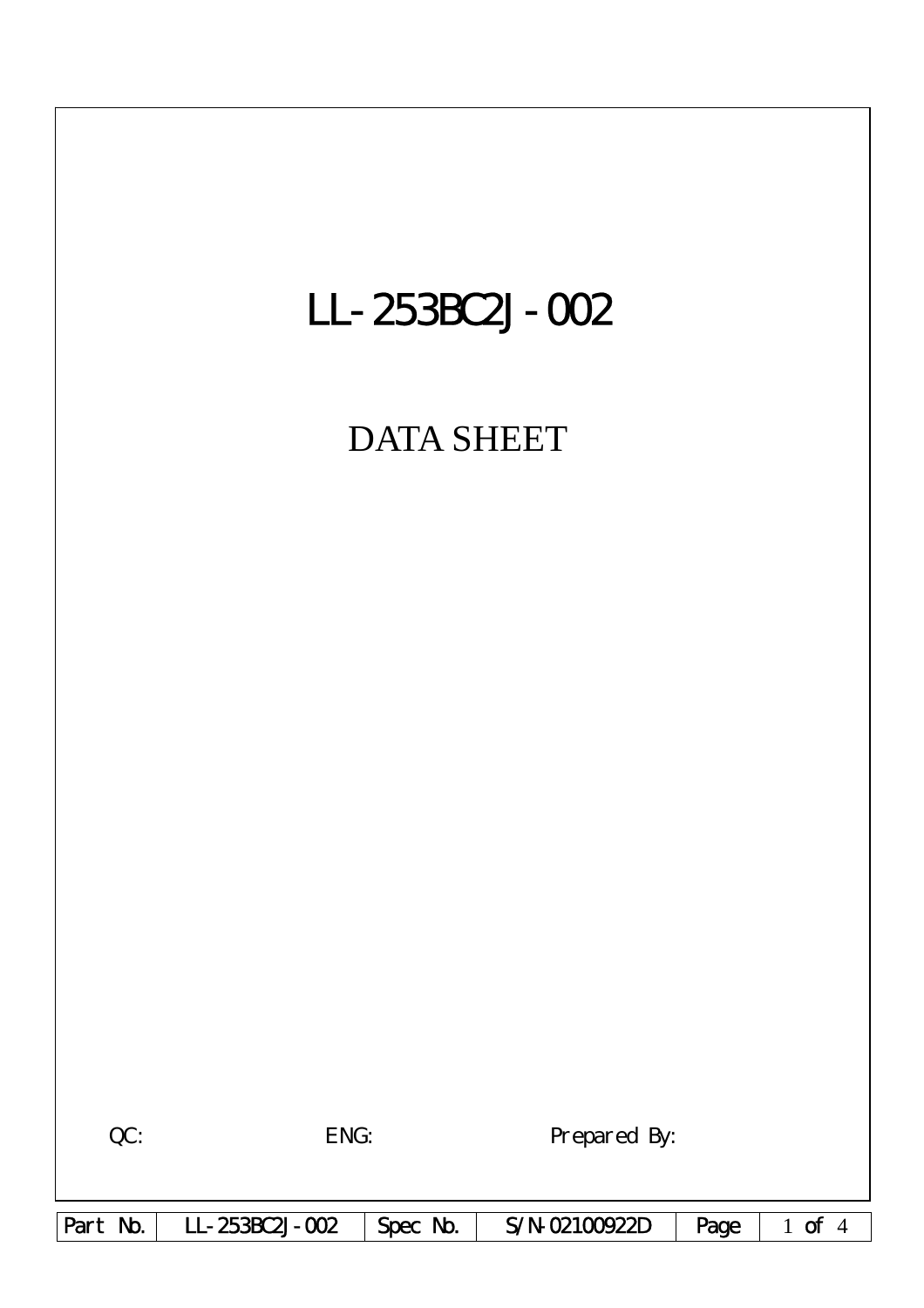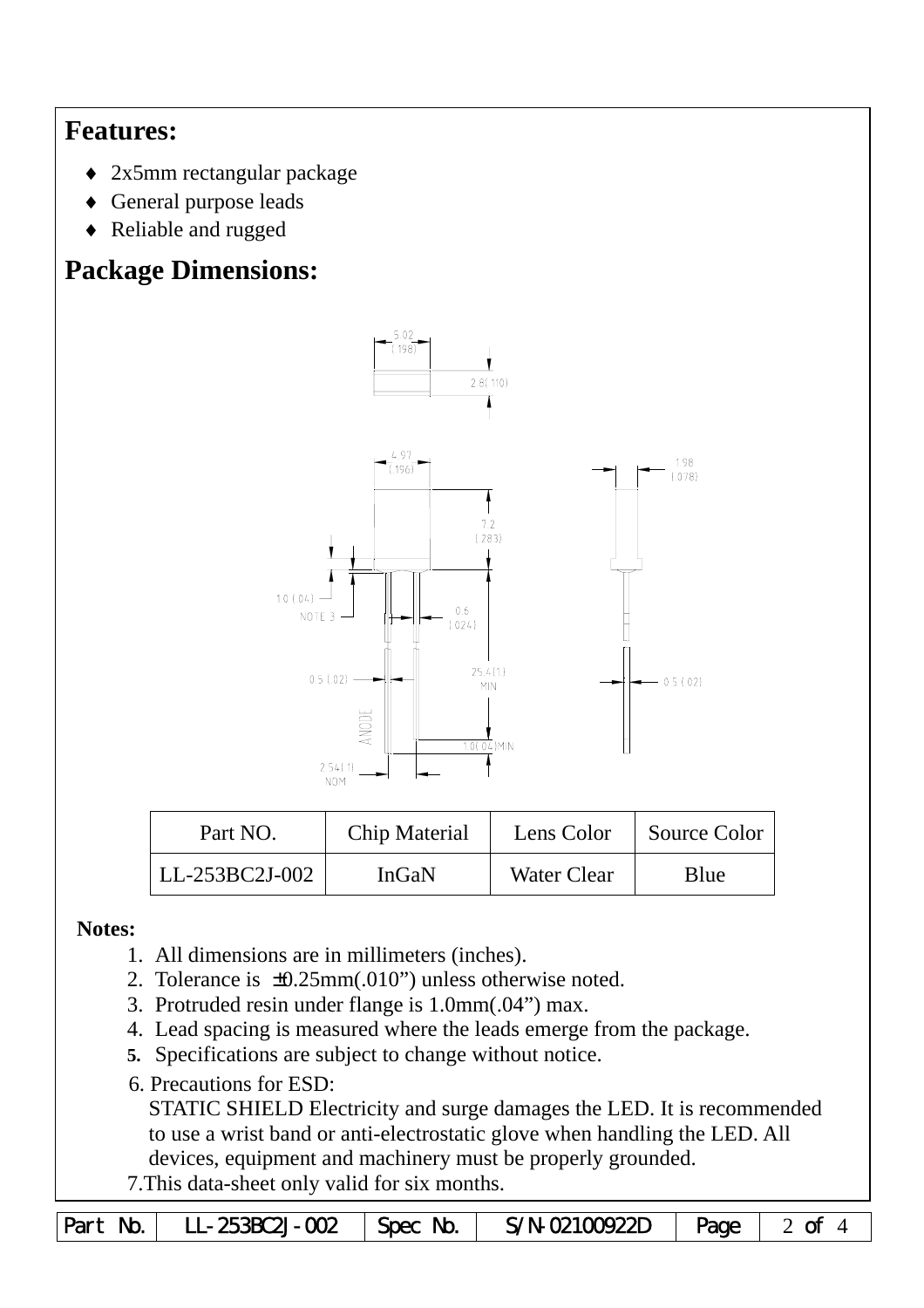## **Features:**

- ♦ 2x5mm rectangular package
- ♦ General purpose leads
- ♦ Reliable and rugged

# **Package Dimensions:**



| Part NO.                | Chip Material | Lens Color         | Source Color |  |
|-------------------------|---------------|--------------------|--------------|--|
| LL-253BC2J-002<br>InGaN |               | <b>Water Clear</b> | Blue         |  |

#### **Notes:**

- 1. All dimensions are in millimeters (inches).
- 2. Tolerance is ±0.25mm(.010") unless otherwise noted.
- 3. Protruded resin under flange is 1.0mm(.04") max.
- 4. Lead spacing is measured where the leads emerge from the package.
- **5.** Specifications are subject to change without notice.
- 6. Precautions for ESD:

STATIC SHIELD Electricity and surge damages the LED. It is recommended to use a wrist band or anti-electrostatic glove when handling the LED. All devices, equipment and machinery must be properly grounded.

7.This data-sheet only valid for six months.

|  | Part No.   LL-253BC2J-002   Spec No. <sup> </sup> |  | $S/N-$ 02100922D $\parallel$ Page $\parallel$ 2 of 4 |  |  |
|--|---------------------------------------------------|--|------------------------------------------------------|--|--|
|--|---------------------------------------------------|--|------------------------------------------------------|--|--|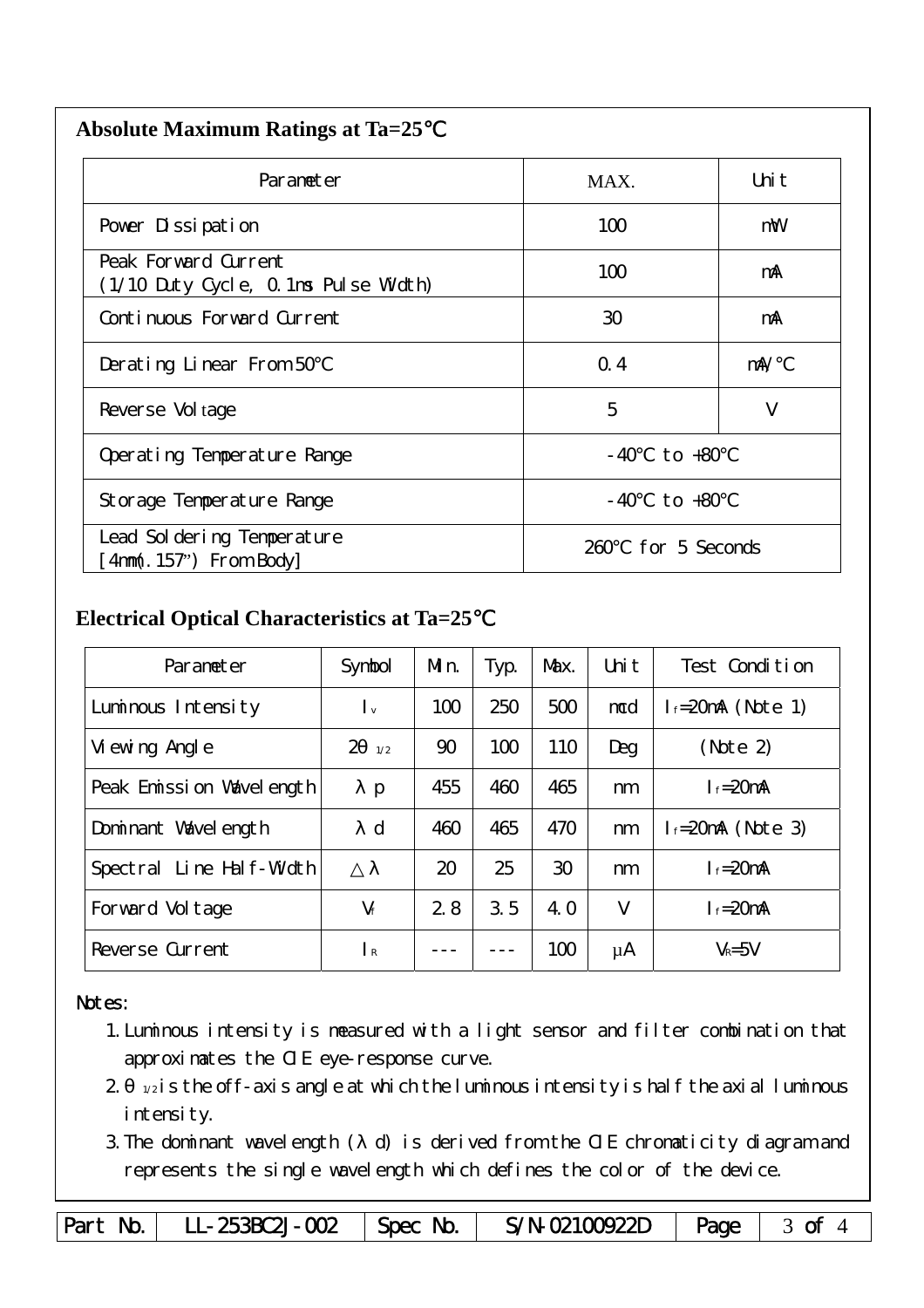| <b>Absolute Maximum Ratings at Ta=25</b> |  |
|------------------------------------------|--|
|                                          |  |

| Parameter                                                    | MAX.                  | Uni t |
|--------------------------------------------------------------|-----------------------|-------|
| Pover Dissipation                                            | 100                   | mW    |
| Peak Forward Current<br>(1/10 Duty Cycle, 0.1ms Pulse Width) | 100                   | mA    |
| Continuous Forward Current                                   | 30                    | mA    |
| Derating Linear From 50                                      | Q.4                   | mA/   |
| Reverse Vol tage                                             | 5                     | V     |
| to $+80$<br>Operating Temperature Range<br>- 40              |                       |       |
| $-40$ to $+80$<br>Storage Temperature Range                  |                       |       |
| Lead Sol dering Temperature<br>4nm(. 157") From Body         | for 5 Seconds<br>260. |       |

### **Electrical Optical Characteristics at Ta=25**℃

| Parameter                   | Symbol                    | Mn. | Typ. | Max. | Uni t  | Test Condition         |
|-----------------------------|---------------------------|-----|------|------|--------|------------------------|
| Luminous Intensity          | $\mathsf{L}_{\mathsf{v}}$ | 100 | 250  | 500  | mcd    | $l_f = 20$ mA (Note 1) |
| Vi ewing Angl e             | $\overline{2}$<br>1/2     | 90  | 100  | 110  | Deg    | (Note 2)               |
| Peak Emission Wavelength    | p                         | 455 | 460  | 465  | nm     | $I_f = 20$ mA          |
| Dominant Wavelength         | $\mathbf d$               | 460 | 465  | 470  | nm     | $l_f = 20$ mA (Note 3) |
| Line Half-Width<br>Spectral |                           | 20  | 25   | 30   | nm     | $I_f = 20$ mA          |
| Forward Voltage             | $V_f$                     | 2.8 | 3.5  | 4. O | $\vee$ | $I_f = 20$ mA          |
| Reverse Current             | $\mathsf{R}$              |     |      | 100  | μA     | $V_R = 5V$             |

#### Notes:

- 1.Luminous intensity is measured with a light sensor and filter combination that approximates the CIE eye-response curve.
- $2 1/2$  is the off-axis angle at which the luminous intensity is half the axial luminous i ntensity.
- 3.The dominant wavelength ( d) is derived from the CIE chromaticity diagram and represents the single wavelength which defines the color of the device.

Part No. | LL-253BC2J-002 | Spec No. | S/N-02100922D | Page | 3 of 4